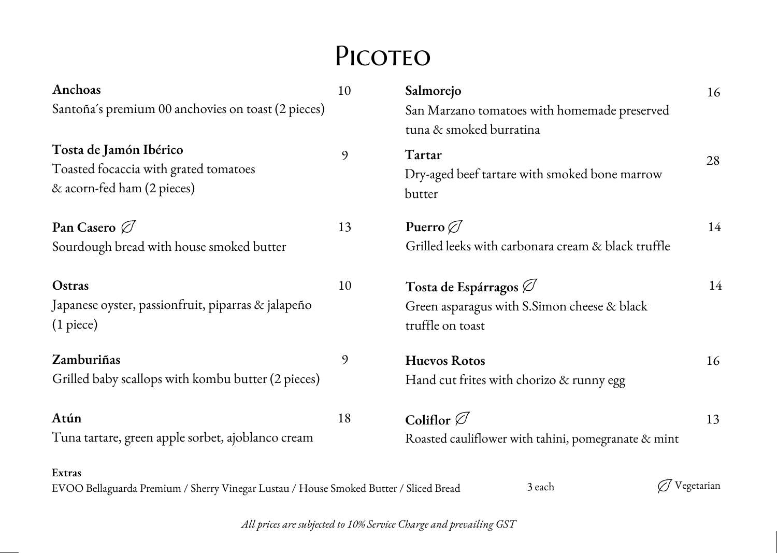## PICOTEO

| Anchoas                                                                                         | 10 | Salmorejo                                           | 16         |  |
|-------------------------------------------------------------------------------------------------|----|-----------------------------------------------------|------------|--|
| Santoña's premium 00 anchovies on toast (2 pieces)                                              |    | San Marzano tomatoes with homemade preserved        |            |  |
|                                                                                                 |    | tuna & smoked burratina                             |            |  |
| Tosta de Jamón Ibérico                                                                          | 9  | Tartar                                              | 28         |  |
| Toasted focaccia with grated tomatoes                                                           |    | Dry-aged beef tartare with smoked bone marrow       |            |  |
| & acorn-fed ham (2 pieces)                                                                      |    | butter                                              |            |  |
| Pan Casero $\varnothing$                                                                        | 13 | Puerro $\oslash$                                    | 14         |  |
| Sourdough bread with house smoked butter                                                        |    | Grilled leeks with carbonara cream & black truffle  |            |  |
| Ostras                                                                                          | 10 | Tosta de Espárragos $\varnothing$                   | 14         |  |
| Japanese oyster, passionfruit, piparras & jalapeño                                              |    | Green asparagus with S.Simon cheese & black         |            |  |
| $(1$ piece $)$                                                                                  |    | truffle on toast                                    |            |  |
| Zamburiñas                                                                                      | 9  | <b>Huevos Rotos</b>                                 | 16         |  |
| Grilled baby scallops with kombu butter (2 pieces)                                              |    | Hand cut frites with chorizo & runny egg            |            |  |
| Atún                                                                                            | 18 | Coliflor $\varnothing$                              | 13         |  |
| Tuna tartare, green apple sorbet, ajoblanco cream                                               |    | Roasted cauliflower with tahini, pomegranate & mint |            |  |
| Extras<br>EVOO Bellaguarda Premium / Sherry Vinegar Lustau / House Smoked Butter / Sliced Bread |    | 3 each                                              | Vegetarian |  |

*All prices are subjected to 10% Service Charge and prevailing GST*